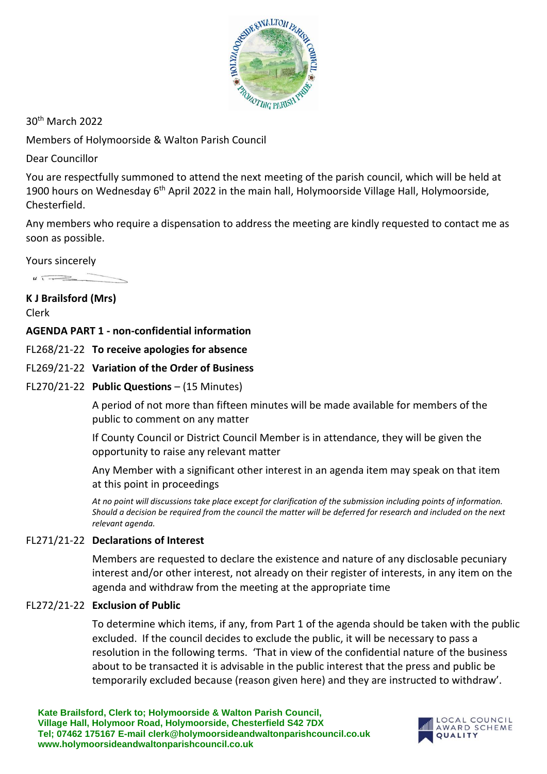

30th March 2022

Members of Holymoorside & Walton Parish Council

Dear Councillor

You are respectfully summoned to attend the next meeting of the parish council, which will be held at 1900 hours on Wednesday 6<sup>th</sup> April 2022 in the main hall, Holymoorside Village Hall, Holymoorside, Chesterfield.

Any members who require a dispensation to address the meeting are kindly requested to contact me as soon as possible.

Yours sincerely

 $\frac{1}{1}$ 

# **K J Brailsford (Mrs)**

Clerk

# **AGENDA PART 1 - non-confidential information**

# FL268/21-22 **To receive apologies for absence**

# FL269/21-22 **Variation of the Order of Business**

# FL270/21-22 **Public Questions** – (15 Minutes)

A period of not more than fifteen minutes will be made available for members of the public to comment on any matter

If County Council or District Council Member is in attendance, they will be given the opportunity to raise any relevant matter

Any Member with a significant other interest in an agenda item may speak on that item at this point in proceedings

*At no point will discussions take place except for clarification of the submission including points of information. Should a decision be required from the council the matter will be deferred for research and included on the next relevant agenda.*

# FL271/21-22 **Declarations of Interest**

Members are requested to declare the existence and nature of any disclosable pecuniary interest and/or other interest, not already on their register of interests, in any item on the agenda and withdraw from the meeting at the appropriate time

# FL272/21-22 **Exclusion of Public**

To determine which items, if any, from Part 1 of the agenda should be taken with the public excluded. If the council decides to exclude the public, it will be necessary to pass a resolution in the following terms. 'That in view of the confidential nature of the business about to be transacted it is advisable in the public interest that the press and public be temporarily excluded because (reason given here) and they are instructed to withdraw'.

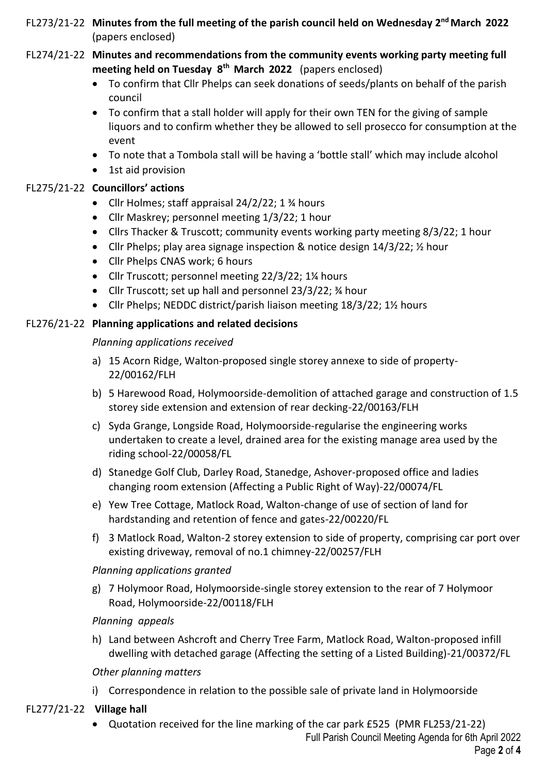- FL273/21-22 **Minutes from the full meeting of the parish council held on Wednesday 2 nd March 2022** (papers enclosed)
- FL274/21-22 **Minutes and recommendations from the community events working party meeting full meeting held on Tuesday 8th March 2022** (papers enclosed)
	- To confirm that Cllr Phelps can seek donations of seeds/plants on behalf of the parish council
	- To confirm that a stall holder will apply for their own TEN for the giving of sample liquors and to confirm whether they be allowed to sell prosecco for consumption at the event
	- To note that a Tombola stall will be having a 'bottle stall' which may include alcohol
	- 1st aid provision

# FL275/21-22 **Councillors' actions**

- Cllr Holmes; staff appraisal 24/2/22; 1 % hours
- Cllr Maskrey; personnel meeting 1/3/22; 1 hour
- Cllrs Thacker & Truscott; community events working party meeting 8/3/22; 1 hour
- Cllr Phelps; play area signage inspection & notice design 14/3/22; 1/2 hour
- Cllr Phelps CNAS work; 6 hours
- Cllr Truscott; personnel meeting 22/3/22; 1¼ hours
- Cllr Truscott; set up hall and personnel 23/3/22; 3/4 hour
- Cllr Phelps; NEDDC district/parish liaison meeting 18/3/22; 11/2 hours

# FL276/21-22 **Planning applications and related decisions**

# *Planning applications received*

- a) 15 Acorn Ridge, Walton-proposed single storey annexe to side of property-22/00162/FLH
- b) 5 Harewood Road, Holymoorside-demolition of attached garage and construction of 1.5 storey side extension and extension of rear decking-22/00163/FLH
- c) Syda Grange, Longside Road, Holymoorside-regularise the engineering works undertaken to create a level, drained area for the existing manage area used by the riding school-22/00058/FL
- d) Stanedge Golf Club, Darley Road, Stanedge, Ashover-proposed office and ladies changing room extension (Affecting a Public Right of Way)-22/00074/FL
- e) Yew Tree Cottage, Matlock Road, Walton-change of use of section of land for hardstanding and retention of fence and gates-22/00220/FL
- f) 3 Matlock Road, Walton-2 storey extension to side of property, comprising car port over existing driveway, removal of no.1 chimney-22/00257/FLH

# *Planning applications granted*

g) 7 Holymoor Road, Holymoorside-single storey extension to the rear of 7 Holymoor Road, Holymoorside-22/00118/FLH

# *Planning appeals*

h) Land between Ashcroft and Cherry Tree Farm, Matlock Road, Walton-proposed infill dwelling with detached garage (Affecting the setting of a Listed Building)-21/00372/FL

# *Other planning matters*

i) Correspondence in relation to the possible sale of private land in Holymoorside

# FL277/21-22 **Village hall**

• Quotation received for the line marking of the car park £525 (PMR FL253/21-22)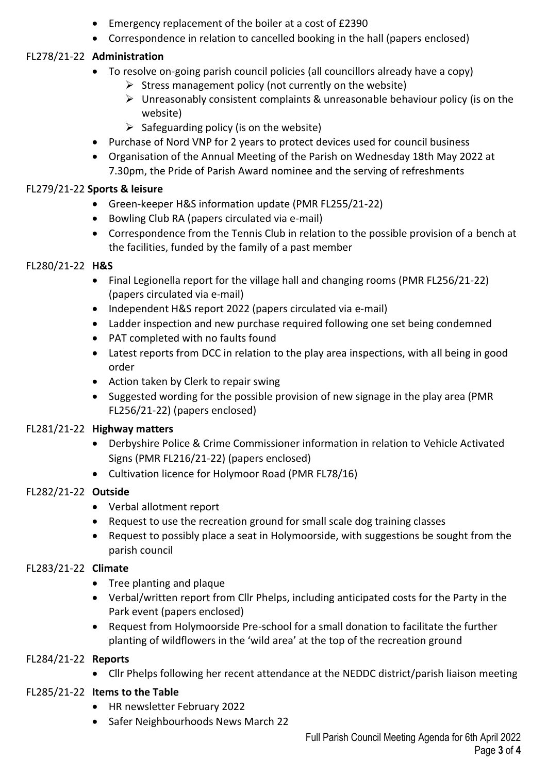- Emergency replacement of the boiler at a cost of £2390
- Correspondence in relation to cancelled booking in the hall (papers enclosed)

# FL278/21-22 **Administration**

- To resolve on-going parish council policies (all councillors already have a copy)
	- $\triangleright$  Stress management policy (not currently on the website)
	- $\triangleright$  Unreasonably consistent complaints & unreasonable behaviour policy (is on the website)
	- $\triangleright$  Safeguarding policy (is on the website)
- Purchase of Nord VNP for 2 years to protect devices used for council business
- Organisation of the Annual Meeting of the Parish on Wednesday 18th May 2022 at 7.30pm, the Pride of Parish Award nominee and the serving of refreshments

# FL279/21-22 **Sports & leisure**

- Green-keeper H&S information update (PMR FL255/21-22)
- Bowling Club RA (papers circulated via e-mail)
- Correspondence from the Tennis Club in relation to the possible provision of a bench at the facilities, funded by the family of a past member

# FL280/21-22 **H&S**

- Final Legionella report for the village hall and changing rooms (PMR FL256/21-22) (papers circulated via e-mail)
- Independent H&S report 2022 (papers circulated via e-mail)
- Ladder inspection and new purchase required following one set being condemned
- PAT completed with no faults found
- Latest reports from DCC in relation to the play area inspections, with all being in good order
- Action taken by Clerk to repair swing
- Suggested wording for the possible provision of new signage in the play area (PMR FL256/21-22) (papers enclosed)

# FL281/21-22 **Highway matters**

- Derbyshire Police & Crime Commissioner information in relation to Vehicle Activated Signs (PMR FL216/21-22) (papers enclosed)
- Cultivation licence for Holymoor Road (PMR FL78/16)

# FL282/21-22 **Outside**

- Verbal allotment report
- Request to use the recreation ground for small scale dog training classes
- Request to possibly place a seat in Holymoorside, with suggestions be sought from the parish council

# FL283/21-22 **Climate**

- Tree planting and plaque
- Verbal/written report from Cllr Phelps, including anticipated costs for the Party in the Park event (papers enclosed)
- Request from Holymoorside Pre-school for a small donation to facilitate the further planting of wildflowers in the 'wild area' at the top of the recreation ground

# FL284/21-22 **Reports**

• Cllr Phelps following her recent attendance at the NEDDC district/parish liaison meeting

# FL285/21-22 **Items to the Table**

- HR newsletter February 2022
- Safer Neighbourhoods News March 22